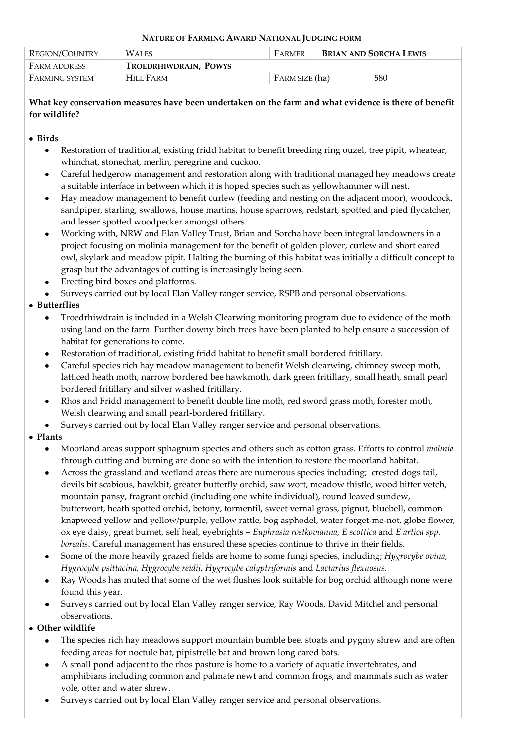#### **NATURE OF FARMING AWARD NATIONAL JUDGING FORM**

| REGION/COUNTRY      | <b>WALES</b>          | FARMER         | <b>BRIAN AND SORCHA LEWIS</b> |     |
|---------------------|-----------------------|----------------|-------------------------------|-----|
| <b>FARM ADDRESS</b> | TROEDRHIWDRAIN, POWYS |                |                               |     |
| FARMING SYSTEM      | HILL FARM             | FARM SIZE (ha) |                               | 580 |

## **What key conservation measures have been undertaken on the farm and what evidence is there of benefit for wildlife?**

### **Birds**

- Restoration of traditional, existing fridd habitat to benefit breeding ring ouzel, tree pipit, wheatear,  $\bullet$ whinchat, stonechat, merlin, peregrine and cuckoo.
- Careful hedgerow management and restoration along with traditional managed hey meadows create a suitable interface in between which it is hoped species such as yellowhammer will nest.
- Hay meadow management to benefit curlew (feeding and nesting on the adjacent moor), woodcock, sandpiper, starling, swallows, house martins, house sparrows, redstart, spotted and pied flycatcher, and lesser spotted woodpecker amongst others.
- Working with, NRW and Elan Valley Trust, Brian and Sorcha have been integral landowners in a project focusing on molinia management for the benefit of golden plover, curlew and short eared owl, skylark and meadow pipit. Halting the burning of this habitat was initially a difficult concept to grasp but the advantages of cutting is increasingly being seen.
- Erecting bird boxes and platforms.
- Surveys carried out by local Elan Valley ranger service, RSPB and personal observations.

# **Butterflies**

- Troedrhiwdrain is included in a Welsh Clearwing monitoring program due to evidence of the moth using land on the farm. Further downy birch trees have been planted to help ensure a succession of habitat for generations to come.
- Restoration of traditional, existing fridd habitat to benefit small bordered fritillary.
- Careful species rich hay meadow management to benefit Welsh clearwing, chimney sweep moth, latticed heath moth, narrow bordered bee hawkmoth, dark green fritillary, small heath, small pearl bordered fritillary and silver washed fritillary.
- $\bullet$ Rhos and Fridd management to benefit double line moth, red sword grass moth, forester moth, Welsh clearwing and small pearl-bordered fritillary.
- Surveys carried out by local Elan Valley ranger service and personal observations.

# **Plants**

- Moorland areas support sphagnum species and others such as cotton grass. Efforts to control *molinia*   $\bullet$ through cutting and burning are done so with the intention to restore the moorland habitat.
- Across the grassland and wetland areas there are numerous species including; crested dogs tail, devils bit scabious, hawkbit, greater butterfly orchid, saw wort, meadow thistle, wood bitter vetch, mountain pansy, fragrant orchid (including one white individual), round leaved sundew, butterwort, heath spotted orchid, betony, tormentil, sweet vernal grass, pignut, bluebell, common knapweed yellow and yellow/purple, yellow rattle, bog asphodel, water forget-me-not, globe flower, ox eye daisy, great burnet, self heal, eyebrights – *Euphrasia rostkovianna, E scottica* and *E artica spp. borealis*. Careful management has ensured these species continue to thrive in their fields.
- Some of the more heavily grazed fields are home to some fungi species, including; *Hygrocybe ovina, Hygrocybe psittacina, Hygrocybe reidii, Hygrocybe calyptriformis* and *Lactarius flexuosus.*
- Ray Woods has muted that some of the wet flushes look suitable for bog orchid although none were found this year.
- Surveys carried out by local Elan Valley ranger service, Ray Woods, David Mitchel and personal observations.

# **Other wildlife**

- The species rich hay meadows support mountain bumble bee, stoats and pygmy shrew and are often feeding areas for noctule bat, pipistrelle bat and brown long eared bats.
- A small pond adjacent to the rhos pasture is home to a variety of aquatic invertebrates, and amphibians including common and palmate newt and common frogs, and mammals such as water vole, otter and water shrew.
- Surveys carried out by local Elan Valley ranger service and personal observations.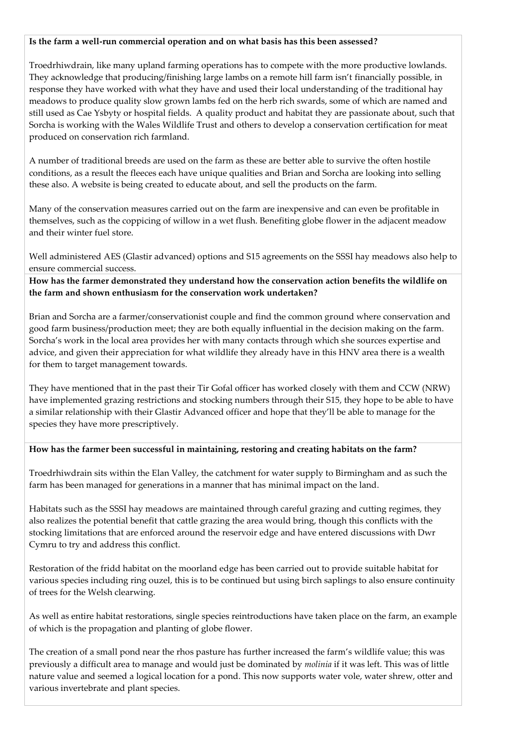#### **Is the farm a well-run commercial operation and on what basis has this been assessed?**

Troedrhiwdrain, like many upland farming operations has to compete with the more productive lowlands. They acknowledge that producing/finishing large lambs on a remote hill farm isn't financially possible, in response they have worked with what they have and used their local understanding of the traditional hay meadows to produce quality slow grown lambs fed on the herb rich swards, some of which are named and still used as Cae Ysbyty or hospital fields. A quality product and habitat they are passionate about, such that Sorcha is working with the Wales Wildlife Trust and others to develop a conservation certification for meat produced on conservation rich farmland.

A number of traditional breeds are used on the farm as these are better able to survive the often hostile conditions, as a result the fleeces each have unique qualities and Brian and Sorcha are looking into selling these also. A website is being created to educate about, and sell the products on the farm.

Many of the conservation measures carried out on the farm are inexpensive and can even be profitable in themselves, such as the coppicing of willow in a wet flush. Benefiting globe flower in the adjacent meadow and their winter fuel store.

Well administered AES (Glastir advanced) options and S15 agreements on the SSSI hay meadows also help to ensure commercial success.

**How has the farmer demonstrated they understand how the conservation action benefits the wildlife on the farm and shown enthusiasm for the conservation work undertaken?**

Brian and Sorcha are a farmer/conservationist couple and find the common ground where conservation and good farm business/production meet; they are both equally influential in the decision making on the farm. Sorcha's work in the local area provides her with many contacts through which she sources expertise and advice, and given their appreciation for what wildlife they already have in this HNV area there is a wealth for them to target management towards.

They have mentioned that in the past their Tir Gofal officer has worked closely with them and CCW (NRW) have implemented grazing restrictions and stocking numbers through their S15, they hope to be able to have a similar relationship with their Glastir Advanced officer and hope that they'll be able to manage for the species they have more prescriptively.

#### **How has the farmer been successful in maintaining, restoring and creating habitats on the farm?**

Troedrhiwdrain sits within the Elan Valley, the catchment for water supply to Birmingham and as such the farm has been managed for generations in a manner that has minimal impact on the land.

Habitats such as the SSSI hay meadows are maintained through careful grazing and cutting regimes, they also realizes the potential benefit that cattle grazing the area would bring, though this conflicts with the stocking limitations that are enforced around the reservoir edge and have entered discussions with Dwr Cymru to try and address this conflict.

Restoration of the fridd habitat on the moorland edge has been carried out to provide suitable habitat for various species including ring ouzel, this is to be continued but using birch saplings to also ensure continuity of trees for the Welsh clearwing.

As well as entire habitat restorations, single species reintroductions have taken place on the farm, an example of which is the propagation and planting of globe flower.

The creation of a small pond near the rhos pasture has further increased the farm's wildlife value; this was previously a difficult area to manage and would just be dominated by *molinia* if it was left. This was of little nature value and seemed a logical location for a pond. This now supports water vole, water shrew, otter and various invertebrate and plant species.